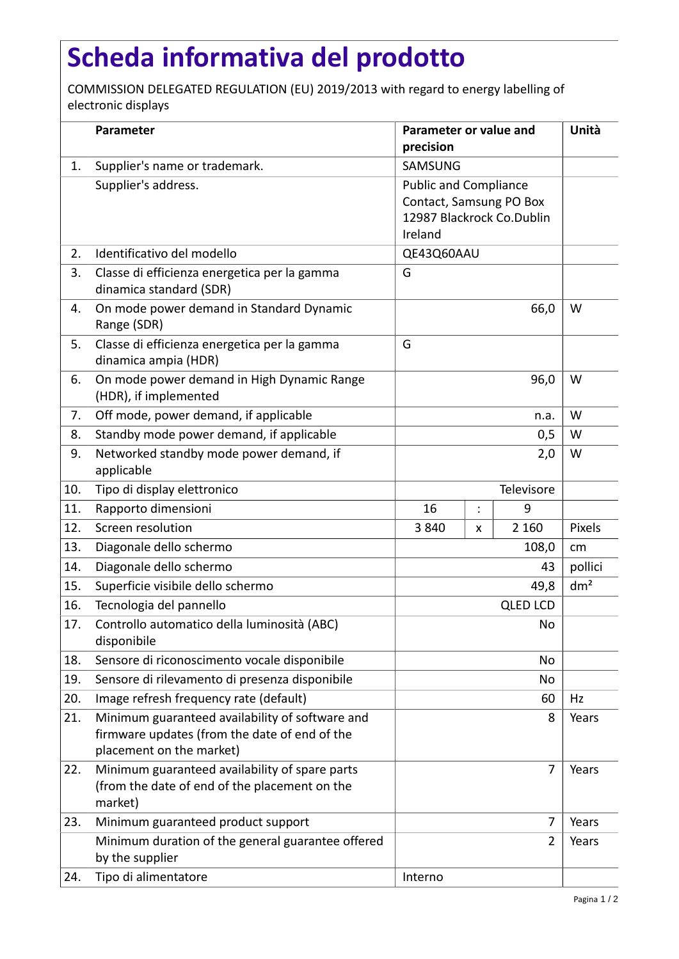## **Scheda informativa del prodotto**

COMMISSION DELEGATED REGULATION (EU) 2019/2013 with regard to energy labelling of electronic displays

|     | Parameter                                                                                                                    | Parameter or value and<br>precision                                                             |                |         | Unità           |
|-----|------------------------------------------------------------------------------------------------------------------------------|-------------------------------------------------------------------------------------------------|----------------|---------|-----------------|
| 1.  | Supplier's name or trademark.                                                                                                | SAMSUNG                                                                                         |                |         |                 |
|     | Supplier's address.                                                                                                          | <b>Public and Compliance</b><br>Contact, Samsung PO Box<br>12987 Blackrock Co.Dublin<br>Ireland |                |         |                 |
| 2.  | Identificativo del modello                                                                                                   | QE43Q60AAU                                                                                      |                |         |                 |
| 3.  | Classe di efficienza energetica per la gamma<br>dinamica standard (SDR)                                                      | G                                                                                               |                |         |                 |
| 4.  | On mode power demand in Standard Dynamic<br>Range (SDR)                                                                      |                                                                                                 |                | 66,0    | W               |
| 5.  | Classe di efficienza energetica per la gamma<br>dinamica ampia (HDR)                                                         | G                                                                                               |                |         |                 |
| 6.  | On mode power demand in High Dynamic Range<br>(HDR), if implemented                                                          |                                                                                                 |                | 96,0    | W               |
| 7.  | Off mode, power demand, if applicable                                                                                        |                                                                                                 |                | n.a.    | W               |
| 8.  | Standby mode power demand, if applicable                                                                                     | 0,5                                                                                             |                |         | W               |
| 9.  | Networked standby mode power demand, if<br>applicable                                                                        | 2,0                                                                                             |                |         | W               |
| 10. | Tipo di display elettronico                                                                                                  | Televisore                                                                                      |                |         |                 |
| 11. | Rapporto dimensioni                                                                                                          | 16                                                                                              | $\ddot{\cdot}$ | 9       |                 |
| 12. | Screen resolution                                                                                                            | 3840                                                                                            | x              | 2 1 6 0 | Pixels          |
| 13. | Diagonale dello schermo                                                                                                      | 108,0                                                                                           |                |         | cm              |
| 14. | Diagonale dello schermo                                                                                                      | 43                                                                                              |                |         | pollici         |
| 15. | Superficie visibile dello schermo                                                                                            | 49,8                                                                                            |                |         | dm <sup>2</sup> |
| 16. | Tecnologia del pannello                                                                                                      | <b>QLED LCD</b>                                                                                 |                |         |                 |
| 17. | Controllo automatico della luminosità (ABC)<br>disponibile                                                                   |                                                                                                 |                | No      |                 |
| 18. | Sensore di riconoscimento vocale disponibile                                                                                 | No                                                                                              |                |         |                 |
| 19. | Sensore di rilevamento di presenza disponibile                                                                               | No                                                                                              |                |         |                 |
| 20. | Image refresh frequency rate (default)                                                                                       | 60                                                                                              |                |         | Hz              |
| 21. | Minimum guaranteed availability of software and<br>firmware updates (from the date of end of the<br>placement on the market) |                                                                                                 |                | 8       | Years           |
| 22. | Minimum guaranteed availability of spare parts<br>(from the date of end of the placement on the<br>market)                   |                                                                                                 |                | 7       | Years           |
| 23. | Minimum guaranteed product support                                                                                           |                                                                                                 |                | 7       | Years           |
|     | Minimum duration of the general guarantee offered<br>by the supplier                                                         |                                                                                                 |                | 2       | Years           |
| 24. | Tipo di alimentatore                                                                                                         | Interno                                                                                         |                |         |                 |